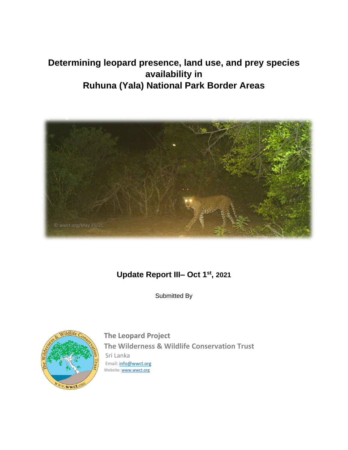# **Determining leopard presence, land use, and prey species availability in Ruhuna (Yala) National Park Border Areas**



# **Update Report III– Oct 1 st , 2021**

Submitted By



**The Leopard Project The Wilderness & Wildlife Conservation Trust** Sri Lanka Email: [info@wwct.org](mailto:info@wwct.org) Website[: www.wwct.org](http://www.wwct.org/)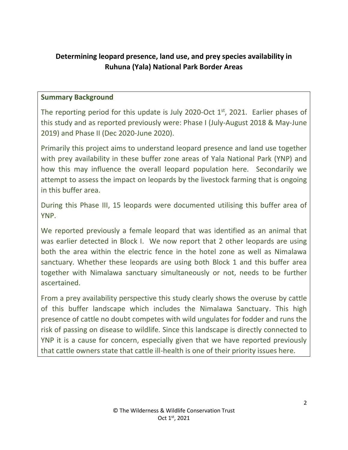# **Determining leopard presence, land use, and prey species availability in Ruhuna (Yala) National Park Border Areas**

#### **Summary Background**

The reporting period for this update is July 2020-Oct  $1<sup>st</sup>$ , 2021. Earlier phases of this study and as reported previously were: Phase I (July-August 2018 & May-June 2019) and Phase II (Dec 2020-June 2020).

Primarily this project aims to understand leopard presence and land use together with prey availability in these buffer zone areas of Yala National Park (YNP) and how this may influence the overall leopard population here. Secondarily we attempt to assess the impact on leopards by the livestock farming that is ongoing in this buffer area.

During this Phase III, 15 leopards were documented utilising this buffer area of YNP.

We reported previously a female leopard that was identified as an animal that was earlier detected in Block I. We now report that 2 other leopards are using both the area within the electric fence in the hotel zone as well as Nimalawa sanctuary. Whether these leopards are using both Block 1 and this buffer area together with Nimalawa sanctuary simultaneously or not, needs to be further ascertained.

From a prey availability perspective this study clearly shows the overuse by cattle of this buffer landscape which includes the Nimalawa Sanctuary. This high presence of cattle no doubt competes with wild ungulates for fodder and runs the risk of passing on disease to wildlife. Since this landscape is directly connected to YNP it is a cause for concern, especially given that we have reported previously that cattle owners state that cattle ill-health is one of their priority issues here.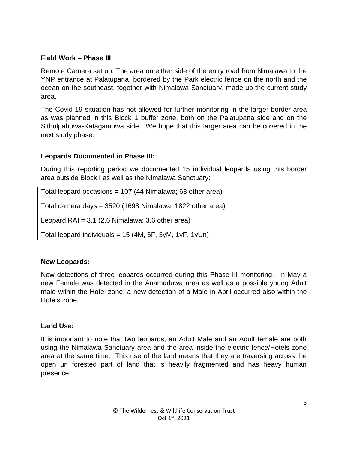#### **Field Work – Phase III**

Remote Camera set up: The area on either side of the entry road from Nimalawa to the YNP entrance at Palatupana, bordered by the Park electric fence on the north and the ocean on the southeast, together with Nimalawa Sanctuary, made up the current study area.

The Covid-19 situation has not allowed for further monitoring in the larger border area as was planned in this Block 1 buffer zone, both on the Palatupana side and on the Sithulpahuwa-Katagamuwa side. We hope that this larger area can be covered in the next study phase.

# **Leopards Documented in Phase III:**

During this reporting period we documented 15 individual leopards using this border area outside Block I as well as the Nimalawa Sanctuary:

| Total leopard occasions = $107$ (44 Nimalawa; 63 other area) |
|--------------------------------------------------------------|
| Total camera days = 3520 (1698 Nimalawa; 1822 other area)    |
| Leopard RAI = $3.1$ (2.6 Nimalawa; 3.6 other area)           |
| Total leopard individuals = $15$ (4M, 6F, 3yM, 1yF, 1yUn)    |

# **New Leopards:**

New detections of three leopards occurred during this Phase III monitoring. In May a new Female was detected in the Anamaduwa area as well as a possible young Adult male within the Hotel zone; a new detection of a Male in April occurred also within the Hotels zone.

# **Land Use:**

It is important to note that two leopards, an Adult Male and an Adult female are both using the Nimalawa Sanctuary area and the area inside the electric fence/Hotels zone area at the same time. This use of the land means that they are traversing across the open un forested part of land that is heavily fragmented and has heavy human presence.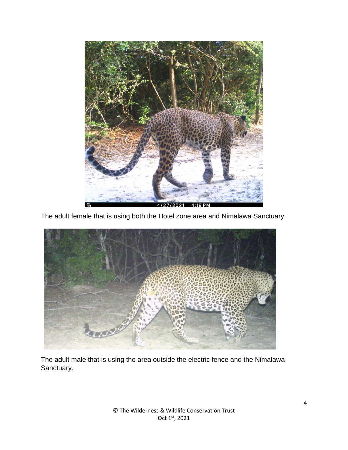

The adult female that is using both the Hotel zone area and Nimalawa Sanctuary.



The adult male that is using the area outside the electric fence and the Nimalawa Sanctuary.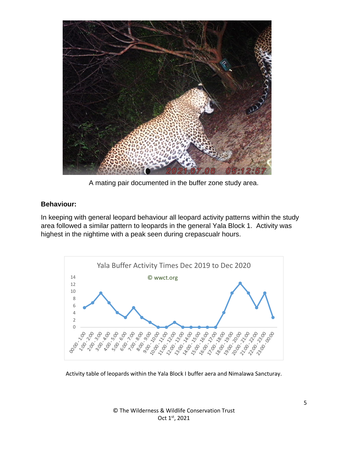

A mating pair documented in the buffer zone study area.

#### **Behaviour:**

In keeping with general leopard behaviour all leopard activity patterns within the study area followed a similar pattern to leopards in the general Yala Block 1. Activity was highest in the nightime with a peak seen during crepascualr hours.



Activity table of leopards within the Yala Block I buffer aera and Nimalawa Sancturay.